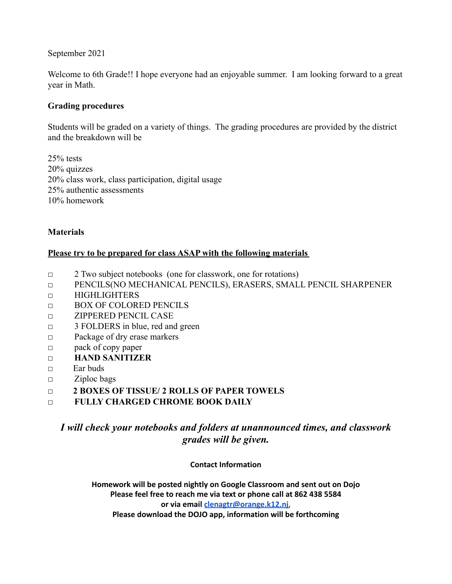September 2021

Welcome to 6th Grade!! I hope everyone had an enjoyable summer. I am looking forward to a great year in Math.

## **Grading procedures**

Students will be graded on a variety of things. The grading procedures are provided by the district and the breakdown will be

25% tests 20% quizzes 20% class work, class participation, digital usage 25% authentic assessments 10% homework

## **Materials**

## **Please try to be prepared for class ASAP with the following materials**

- □ 2 Two subject notebooks (one for classwork, one for rotations)
- □ PENCILS(NO MECHANICAL PENCILS), ERASERS, SMALL PENCIL SHARPENER
- □ HIGHLIGHTERS
- □ BOX OF COLORED PENCILS
- □ ZIPPERED PENCIL CASE
- □ 3 FOLDERS in blue, red and green
- □ Package of dry erase markers
- pack of copy paper
- □ **HAND SANITIZER**
- □ Ear buds
- □ Ziploc bags
- □ **2 BOXES OF TISSUE/ 2 ROLLS OF PAPER TOWELS**
- □ **FULLY CHARGED CHROME BOOK DAILY**

# *I will check your notebooks and folders at unannounced times, and classwork grades will be given.*

**Contact Information**

**Homework will be posted nightly on Google Classroom and sent out on Dojo Please feel free to reach me via text or phone call at 862 438 5584 or via email [clenagtr@orange.k12.nj](mailto:clenagtr@orange.k12.nj)**, **Please download the DOJO app, information will be forthcoming**